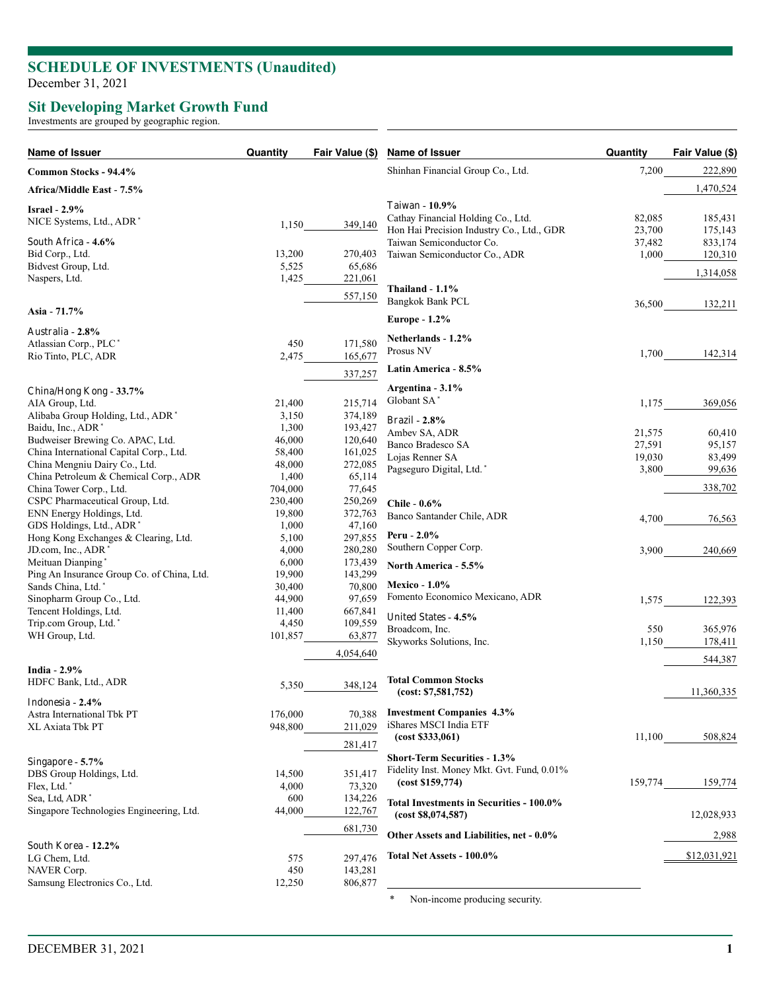## **SCHEDULE OF INVESTMENTS (Unaudited)**

December 31, 2021

## **Sit Developing Market Growth Fund**

Investments are grouped by geographic region.

| Name of Issuer                                      | Quantity        | Fair Value (\$)    | Name of Issuer                                                 | Quantity | Fair Value (\$) |
|-----------------------------------------------------|-----------------|--------------------|----------------------------------------------------------------|----------|-----------------|
| Common Stocks - 94.4%                               |                 |                    | Shinhan Financial Group Co., Ltd.                              | 7,200    | 222,890         |
| Africa/Middle East - 7.5%                           |                 |                    |                                                                |          | 1,470,524       |
| Israel - $2.9\%$                                    |                 |                    | Taiwan - 10.9%                                                 |          |                 |
| NICE Systems, Ltd., ADR <sup>*</sup>                | 1,150           | 349,140            | Cathay Financial Holding Co., Ltd.                             | 82,085   | 185,431         |
|                                                     |                 |                    | Hon Hai Precision Industry Co., Ltd., GDR                      | 23,700   | 175,143         |
| South Africa - 4.6%                                 |                 |                    | Taiwan Semiconductor Co.                                       | 37,482   | 833,174         |
| Bid Corp., Ltd.<br>Bidvest Group, Ltd.              | 13,200<br>5,525 | 270,403<br>65,686  | Taiwan Semiconductor Co., ADR                                  | 1,000    | 120,310         |
| Naspers, Ltd.                                       | 1,425           | 221,061            |                                                                |          | 1,314,058       |
|                                                     |                 |                    | Thailand - $1.1\%$                                             |          |                 |
|                                                     |                 | 557,150            | Bangkok Bank PCL                                               | 36,500   | 132,211         |
| Asia - 71.7%                                        |                 |                    | <b>Europe - 1.2%</b>                                           |          |                 |
| Australia - 2.8%                                    |                 |                    |                                                                |          |                 |
| Atlassian Corp., PLC*                               | 450             | 171,580            | Netherlands - 1.2%                                             |          |                 |
| Rio Tinto, PLC, ADR                                 | 2,475           | 165,677            | Prosus NV                                                      | 1,700    | 142,314         |
|                                                     |                 | 337,257            | Latin America - 8.5%                                           |          |                 |
| China/Hong Kong - 33.7%                             |                 |                    | Argentina - 3.1%                                               |          |                 |
| AIA Group, Ltd.                                     | 21,400          | 215,714            | Globant SA*                                                    | 1,175    | 369,056         |
| Alibaba Group Holding, Ltd., ADR <sup>*</sup>       | 3,150           | 374,189            | <b>Brazil</b> - 2.8%                                           |          |                 |
| Baidu, Inc., ADR <sup>*</sup>                       | 1,300           | 193,427            | Ambey SA, ADR                                                  | 21,575   | 60,410          |
| Budweiser Brewing Co. APAC, Ltd.                    | 46,000          | 120,640            | Banco Bradesco SA                                              | 27,591   | 95,157          |
| China International Capital Corp., Ltd.             | 58,400          | 161,025            | Lojas Renner SA                                                | 19,030   | 83,499          |
| China Mengniu Dairy Co., Ltd.                       | 48,000          | 272,085            | Pagseguro Digital, Ltd.*                                       | 3,800    | 99,636          |
| China Petroleum & Chemical Corp., ADR               | 1,400           | 65,114             |                                                                |          |                 |
| China Tower Corp., Ltd.                             | 704,000         | 77,645             |                                                                |          | 338,702         |
| CSPC Pharmaceutical Group, Ltd.                     | 230,400         | 250,269            | Chile - 0.6%                                                   |          |                 |
| ENN Energy Holdings, Ltd.                           | 19,800          | 372,763            | Banco Santander Chile, ADR                                     | 4,700    | 76,563          |
| GDS Holdings, Ltd., ADR <sup>*</sup>                | 1,000           | 47,160             | Peru - 2.0%                                                    |          |                 |
| Hong Kong Exchanges & Clearing, Ltd.                | 5,100           | 297,855            | Southern Copper Corp.                                          |          |                 |
| JD.com, Inc., ADR <sup>*</sup><br>Meituan Dianping* | 4,000<br>6,000  | 280,280<br>173,439 |                                                                | 3,900    | 240,669         |
| Ping An Insurance Group Co. of China, Ltd.          | 19,900          | 143,299            | North America - 5.5%                                           |          |                 |
| Sands China, Ltd.*                                  | 30,400          | 70,800             | <b>Mexico - 1.0%</b>                                           |          |                 |
| Sinopharm Group Co., Ltd.                           | 44,900          | 97,659             | Fomento Economico Mexicano, ADR                                | 1,575    | 122,393         |
| Tencent Holdings, Ltd.                              | 11,400          | 667,841            |                                                                |          |                 |
| Trip.com Group, Ltd.*                               | 4,450           | 109,559            | <b>United States - 4.5%</b>                                    |          |                 |
| WH Group, Ltd.                                      | 101,857         | 63,877             | Broadcom, Inc.                                                 | 550      | 365,976         |
|                                                     |                 | 4,054,640          | Skyworks Solutions, Inc.                                       | 1,150    | 178,411         |
|                                                     |                 |                    |                                                                |          | 544,387         |
| India - 2.9%                                        |                 |                    | <b>Total Common Stocks</b>                                     |          |                 |
| HDFC Bank, Ltd., ADR                                | 5,350           | 348,124            | (cost: \$7,581,752)                                            |          | 11,360,335      |
| Indonesia - 2.4%                                    |                 |                    |                                                                |          |                 |
| Astra International Tbk PT                          | 176,000         |                    | 70,388 Investment Companies 4.3%                               |          |                 |
| XL Axiata Tbk PT                                    | 948,800         | 211,029            | iShares MSCI India ETF                                         |          |                 |
|                                                     |                 | 281,417            | (cost \$333,061)                                               | 11,100   | 508,824         |
| Singapore - 5.7%                                    |                 |                    | <b>Short-Term Securities - 1.3%</b>                            |          |                 |
| DBS Group Holdings, Ltd.                            | 14,500          | 351,417            | Fidelity Inst. Money Mkt. Gvt. Fund, 0.01%                     |          |                 |
| Flex, Ltd.                                          | 4,000           | 73,320             | (cost \$159,774)                                               | 159,774  | 159,774         |
| Sea, Ltd, ADR <sup>*</sup>                          | 600             | 134,226            |                                                                |          |                 |
| Singapore Technologies Engineering, Ltd.            | 44,000          | 122,767            | Total Investments in Securities - 100.0%<br>(cost \$8,074,587) |          | 12,028,933      |
|                                                     |                 | 681,730            |                                                                |          |                 |
| South Korea - 12.2%                                 |                 |                    | Other Assets and Liabilities, net - 0.0%                       |          | 2,988           |
| LG Chem, Ltd.                                       | 575             | 297,476            | Total Net Assets - 100.0%                                      |          | \$12,031,921    |
| NAVER Corp.                                         | 450             | 143,281            |                                                                |          |                 |
| Samsung Electronics Co., Ltd.                       | 12,250          | 806,877            |                                                                |          |                 |
|                                                     |                 |                    | Non-income producing security.<br>*                            |          |                 |